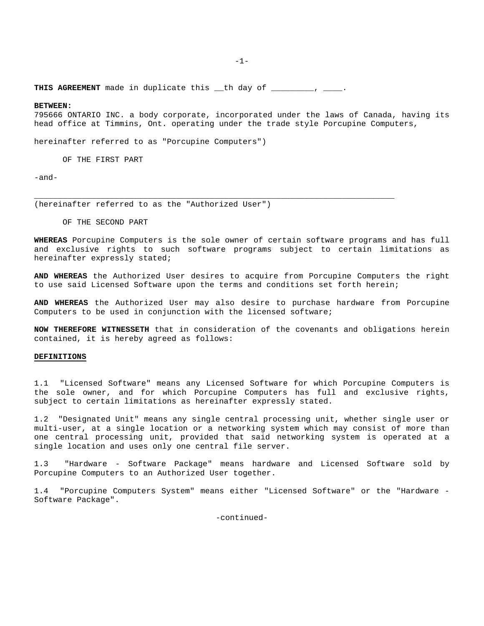-1-

THIS AGREEMENT made in duplicate this \_\_th day of \_\_\_\_\_\_\_\_, \_\_\_\_.

#### **BETWEEN:**

795666 ONTARIO INC. a body corporate, incorporated under the laws of Canada, having its head office at Timmins, Ont. operating under the trade style Porcupine Computers,

hereinafter referred to as "Porcupine Computers")

OF THE FIRST PART

-and-

(hereinafter referred to as the "Authorized User")

OF THE SECOND PART

**WHEREAS** Porcupine Computers is the sole owner of certain software programs and has full and exclusive rights to such software programs subject to certain limitations as hereinafter expressly stated;

\_\_\_\_\_\_\_\_\_\_\_\_\_\_\_\_\_\_\_\_\_\_\_\_\_\_\_\_\_\_\_\_\_\_\_\_\_\_\_\_\_\_\_\_\_\_\_\_\_\_\_\_\_\_\_\_\_\_\_\_\_\_\_\_\_\_\_\_\_\_\_\_\_\_\_\_

**AND WHEREAS** the Authorized User desires to acquire from Porcupine Computers the right to use said Licensed Software upon the terms and conditions set forth herein;

**AND WHEREAS** the Authorized User may also desire to purchase hardware from Porcupine Computers to be used in conjunction with the licensed software;

**NOW THEREFORE WITNESSETH** that in consideration of the covenants and obligations herein contained, it is hereby agreed as follows:

## **DEFINITIONS**

1.1 "Licensed Software" means any Licensed Software for which Porcupine Computers is the sole owner, and for which Porcupine Computers has full and exclusive rights, subject to certain limitations as hereinafter expressly stated.

1.2 "Designated Unit" means any single central processing unit, whether single user or multi-user, at a single location or a networking system which may consist of more than one central processing unit, provided that said networking system is operated at a single location and uses only one central file server.

1.3 "Hardware - Software Package" means hardware and Licensed Software sold by Porcupine Computers to an Authorized User together.

1.4 "Porcupine Computers System" means either "Licensed Software" or the "Hardware - Software Package".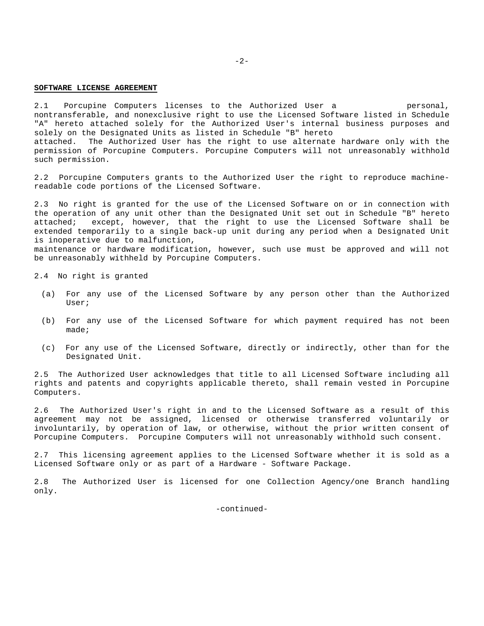#### **SOFTWARE LICENSE AGREEMENT**

2.1 Porcupine Computers licenses to the Authorized User a manufacture personal, nontransferable, and nonexclusive right to use the Licensed Software listed in Schedule "A" hereto attached solely for the Authorized User's internal business purposes and solely on the Designated Units as listed in Schedule "B" hereto attached. The Authorized User has the right to use alternate hardware only with the permission of Porcupine Computers. Porcupine Computers will not unreasonably withhold such permission.

2.2 Porcupine Computers grants to the Authorized User the right to reproduce machinereadable code portions of the Licensed Software.

2.3 No right is granted for the use of the Licensed Software on or in connection with the operation of any unit other than the Designated Unit set out in Schedule "B" hereto attached; except, however, that the right to use the Licensed Software shall be extended temporarily to a single back-up unit during any period when a Designated Unit is inoperative due to malfunction,

maintenance or hardware modification, however, such use must be approved and will not be unreasonably withheld by Porcupine Computers.

2.4 No right is granted

- (a) For any use of the Licensed Software by any person other than the Authorized User;
- (b) For any use of the Licensed Software for which payment required has not been made;
- (c) For any use of the Licensed Software, directly or indirectly, other than for the Designated Unit.

2.5 The Authorized User acknowledges that title to all Licensed Software including all rights and patents and copyrights applicable thereto, shall remain vested in Porcupine Computers.

2.6 The Authorized User's right in and to the Licensed Software as a result of this agreement may not be assigned, licensed or otherwise transferred voluntarily or involuntarily, by operation of law, or otherwise, without the prior written consent of Porcupine Computers. Porcupine Computers will not unreasonably withhold such consent.

2.7 This licensing agreement applies to the Licensed Software whether it is sold as a Licensed Software only or as part of a Hardware - Software Package.

2.8 The Authorized User is licensed for one Collection Agency/one Branch handling only.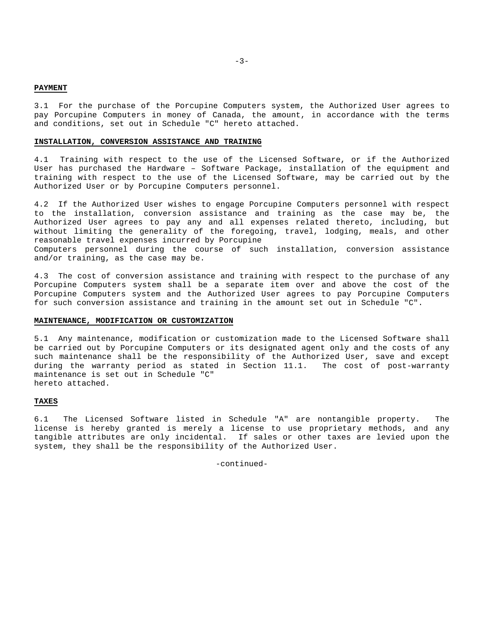### **PAYMENT**

3.1 For the purchase of the Porcupine Computers system, the Authorized User agrees to pay Porcupine Computers in money of Canada, the amount, in accordance with the terms and conditions, set out in Schedule "C" hereto attached.

#### **INSTALLATION, CONVERSION ASSISTANCE AND TRAINING**

4.1 Training with respect to the use of the Licensed Software, or if the Authorized User has purchased the Hardware – Software Package, installation of the equipment and training with respect to the use of the Licensed Software, may be carried out by the Authorized User or by Porcupine Computers personnel.

4.2 If the Authorized User wishes to engage Porcupine Computers personnel with respect to the installation, conversion assistance and training as the case may be, the Authorized User agrees to pay any and all expenses related thereto, including, but without limiting the generality of the foregoing, travel, lodging, meals, and other reasonable travel expenses incurred by Porcupine Computers personnel during the course of such installation, conversion assistance and/or training, as the case may be.

4.3 The cost of conversion assistance and training with respect to the purchase of any Porcupine Computers system shall be a separate item over and above the cost of the Porcupine Computers system and the Authorized User agrees to pay Porcupine Computers for such conversion assistance and training in the amount set out in Schedule "C".

#### **MAINTENANCE, MODIFICATION OR CUSTOMIZATION**

5.1 Any maintenance, modification or customization made to the Licensed Software shall be carried out by Porcupine Computers or its designated agent only and the costs of any such maintenance shall be the responsibility of the Authorized User, save and except during the warranty period as stated in Section 11.1. The cost of post-warranty maintenance is set out in Schedule "C" hereto attached.

### **TAXES**

6.1 The Licensed Software listed in Schedule "A" are nontangible property. The license is hereby granted is merely a license to use proprietary methods, and any tangible attributes are only incidental. If sales or other taxes are levied upon the system, they shall be the responsibility of the Authorized User.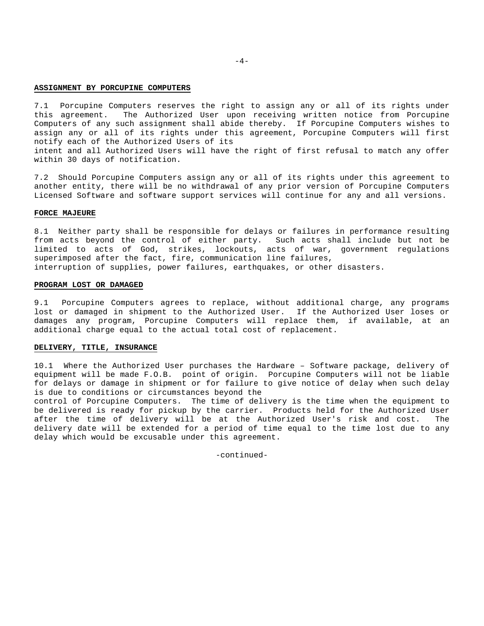### **ASSIGNMENT BY PORCUPINE COMPUTERS**

7.1 Porcupine Computers reserves the right to assign any or all of its rights under this agreement. The Authorized User upon receiving written notice from Porcupine Computers of any such assignment shall abide thereby. If Porcupine Computers wishes to assign any or all of its rights under this agreement, Porcupine Computers will first notify each of the Authorized Users of its intent and all Authorized Users will have the right of first refusal to match any offer within 30 days of notification.

7.2 Should Porcupine Computers assign any or all of its rights under this agreement to another entity, there will be no withdrawal of any prior version of Porcupine Computers Licensed Software and software support services will continue for any and all versions.

#### **FORCE MAJEURE**

8.1 Neither party shall be responsible for delays or failures in performance resulting from acts beyond the control of either party. Such acts shall include but not be limited to acts of God, strikes, lockouts, acts of war, government regulations superimposed after the fact, fire, communication line failures,

interruption of supplies, power failures, earthquakes, or other disasters.

#### **PROGRAM LOST OR DAMAGED**

9.1 Porcupine Computers agrees to replace, without additional charge, any programs lost or damaged in shipment to the Authorized User. If the Authorized User loses or damages any program, Porcupine Computers will replace them, if available, at an additional charge equal to the actual total cost of replacement.

#### **DELIVERY, TITLE, INSURANCE**

10.1 Where the Authorized User purchases the Hardware – Software package, delivery of equipment will be made F.O.B. point of origin. Porcupine Computers will not be liable for delays or damage in shipment or for failure to give notice of delay when such delay is due to conditions or circumstances beyond the

control of Porcupine Computers. The time of delivery is the time when the equipment to be delivered is ready for pickup by the carrier. Products held for the Authorized User after the time of delivery will be at the Authorized User's risk and cost. The delivery date will be extended for a period of time equal to the time lost due to any delay which would be excusable under this agreement.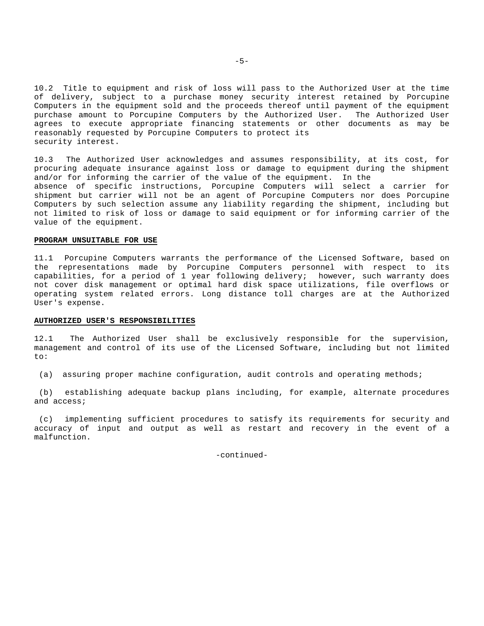10.2 Title to equipment and risk of loss will pass to the Authorized User at the time of delivery, subject to a purchase money security interest retained by Porcupine Computers in the equipment sold and the proceeds thereof until payment of the equipment purchase amount to Porcupine Computers by the Authorized User. The Authorized User agrees to execute appropriate financing statements or other documents as may be reasonably requested by Porcupine Computers to protect its security interest.

10.3 The Authorized User acknowledges and assumes responsibility, at its cost, for procuring adequate insurance against loss or damage to equipment during the shipment and/or for informing the carrier of the value of the equipment. In the absence of specific instructions, Porcupine Computers will select a carrier for shipment but carrier will not be an agent of Porcupine Computers nor does Porcupine Computers by such selection assume any liability regarding the shipment, including but not limited to risk of loss or damage to said equipment or for informing carrier of the value of the equipment.

#### **PROGRAM UNSUITABLE FOR USE**

11.1 Porcupine Computers warrants the performance of the Licensed Software, based on the representations made by Porcupine Computers personnel with respect to its capabilities, for a period of 1 year following delivery; however, such warranty does not cover disk management or optimal hard disk space utilizations, file overflows or operating system related errors. Long distance toll charges are at the Authorized User's expense.

#### **AUTHORIZED USER'S RESPONSIBILITIES**

12.1 The Authorized User shall be exclusively responsible for the supervision, management and control of its use of the Licensed Software, including but not limited to:

(a) assuring proper machine configuration, audit controls and operating methods;

 (b) establishing adequate backup plans including, for example, alternate procedures and access;

 (c) implementing sufficient procedures to satisfy its requirements for security and accuracy of input and output as well as restart and recovery in the event of a malfunction.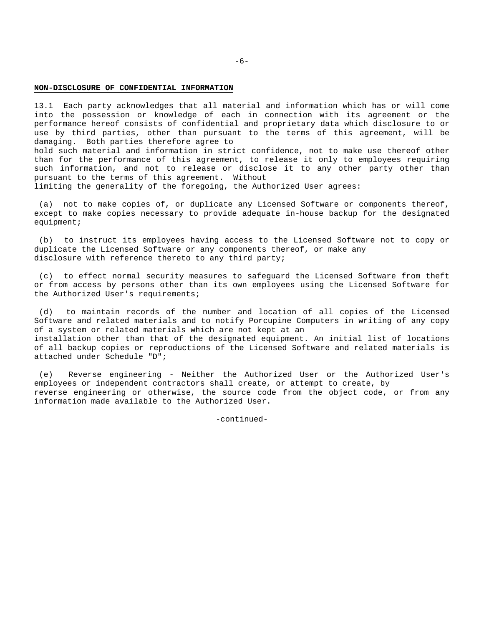## **NON-DISCLOSURE OF CONFIDENTIAL INFORMATION**

13.1 Each party acknowledges that all material and information which has or will come into the possession or knowledge of each in connection with its agreement or the performance hereof consists of confidential and proprietary data which disclosure to or use by third parties, other than pursuant to the terms of this agreement, will be damaging. Both parties therefore agree to hold such material and information in strict confidence, not to make use thereof other

than for the performance of this agreement, to release it only to employees requiring such information, and not to release or disclose it to any other party other than pursuant to the terms of this agreement. Without

limiting the generality of the foregoing, the Authorized User agrees:

 (a) not to make copies of, or duplicate any Licensed Software or components thereof, except to make copies necessary to provide adequate in-house backup for the designated equipment;

 (b) to instruct its employees having access to the Licensed Software not to copy or duplicate the Licensed Software or any components thereof, or make any disclosure with reference thereto to any third party;

 (c) to effect normal security measures to safeguard the Licensed Software from theft or from access by persons other than its own employees using the Licensed Software for the Authorized User's requirements;

 (d) to maintain records of the number and location of all copies of the Licensed Software and related materials and to notify Porcupine Computers in writing of any copy of a system or related materials which are not kept at an installation other than that of the designated equipment. An initial list of locations of all backup copies or reproductions of the Licensed Software and related materials is attached under Schedule "D";

 (e) Reverse engineering - Neither the Authorized User or the Authorized User's employees or independent contractors shall create, or attempt to create, by reverse engineering or otherwise, the source code from the object code, or from any information made available to the Authorized User.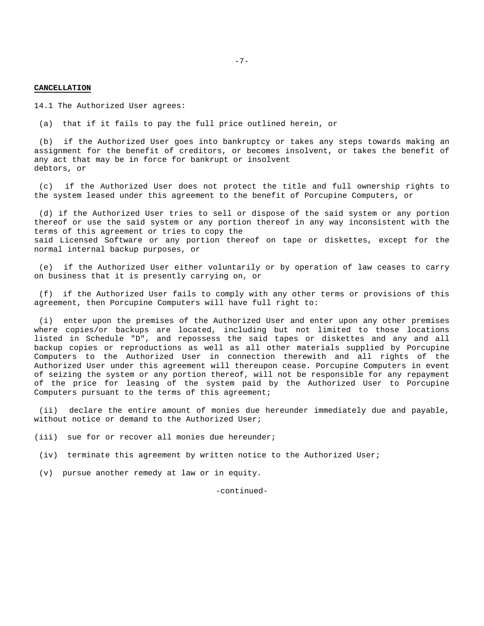#### **CANCELLATION**

14.1 The Authorized User agrees:

(a) that if it fails to pay the full price outlined herein, or

 (b) if the Authorized User goes into bankruptcy or takes any steps towards making an assignment for the benefit of creditors, or becomes insolvent, or takes the benefit of any act that may be in force for bankrupt or insolvent debtors, or

 (c) if the Authorized User does not protect the title and full ownership rights to the system leased under this agreement to the benefit of Porcupine Computers, or

 (d) if the Authorized User tries to sell or dispose of the said system or any portion thereof or use the said system or any portion thereof in any way inconsistent with the terms of this agreement or tries to copy the said Licensed Software or any portion thereof on tape or diskettes, except for the normal internal backup purposes, or

 (e) if the Authorized User either voluntarily or by operation of law ceases to carry on business that it is presently carrying on, or

 (f) if the Authorized User fails to comply with any other terms or provisions of this agreement, then Porcupine Computers will have full right to:

 (i) enter upon the premises of the Authorized User and enter upon any other premises where copies/or backups are located, including but not limited to those locations listed in Schedule "D", and repossess the said tapes or diskettes and any and all backup copies or reproductions as well as all other materials supplied by Porcupine Computers to the Authorized User in connection therewith and all rights of the Authorized User under this agreement will thereupon cease. Porcupine Computers in event of seizing the system or any portion thereof, will not be responsible for any repayment of the price for leasing of the system paid by the Authorized User to Porcupine Computers pursuant to the terms of this agreement;

 (ii) declare the entire amount of monies due hereunder immediately due and payable, without notice or demand to the Authorized User;

(iii) sue for or recover all monies due hereunder;

(iv) terminate this agreement by written notice to the Authorized User;

(v) pursue another remedy at law or in equity.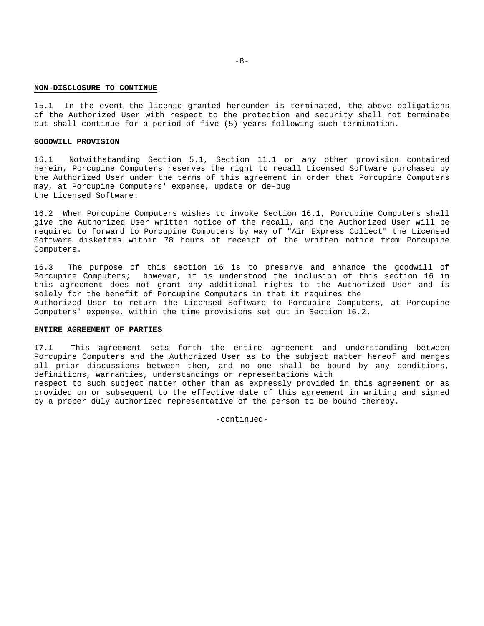### **NON-DISCLOSURE TO CONTINUE**

15.1 In the event the license granted hereunder is terminated, the above obligations of the Authorized User with respect to the protection and security shall not terminate but shall continue for a period of five (5) years following such termination.

#### **GOODWILL PROVISION**

16.1 Notwithstanding Section 5.1, Section 11.1 or any other provision contained herein, Porcupine Computers reserves the right to recall Licensed Software purchased by the Authorized User under the terms of this agreement in order that Porcupine Computers may, at Porcupine Computers' expense, update or de-bug the Licensed Software.

16.2 When Porcupine Computers wishes to invoke Section 16.1, Porcupine Computers shall give the Authorized User written notice of the recall, and the Authorized User will be required to forward to Porcupine Computers by way of "Air Express Collect" the Licensed Software diskettes within 78 hours of receipt of the written notice from Porcupine Computers.

16.3 The purpose of this section 16 is to preserve and enhance the goodwill of Porcupine Computers; however, it is understood the inclusion of this section 16 in this agreement does not grant any additional rights to the Authorized User and is solely for the benefit of Porcupine Computers in that it requires the Authorized User to return the Licensed Software to Porcupine Computers, at Porcupine Computers' expense, within the time provisions set out in Section 16.2.

#### **ENTIRE AGREEMENT OF PARTIES**

17.1 This agreement sets forth the entire agreement and understanding between Porcupine Computers and the Authorized User as to the subject matter hereof and merges all prior discussions between them, and no one shall be bound by any conditions, definitions, warranties, understandings or representations with

respect to such subject matter other than as expressly provided in this agreement or as provided on or subsequent to the effective date of this agreement in writing and signed by a proper duly authorized representative of the person to be bound thereby.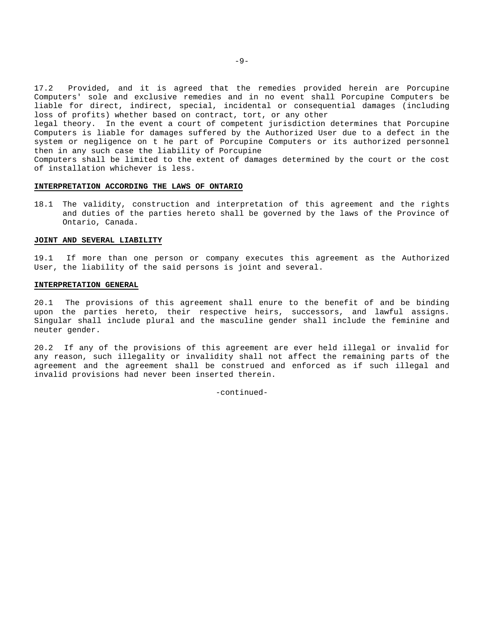17.2 Provided, and it is agreed that the remedies provided herein are Porcupine Computers' sole and exclusive remedies and in no event shall Porcupine Computers be liable for direct, indirect, special, incidental or consequential damages (including loss of profits) whether based on contract, tort, or any other

legal theory. In the event a court of competent jurisdiction determines that Porcupine Computers is liable for damages suffered by the Authorized User due to a defect in the system or negligence on t he part of Porcupine Computers or its authorized personnel then in any such case the liability of Porcupine

Computers shall be limited to the extent of damages determined by the court or the cost of installation whichever is less.

## **INTERPRETATION ACCORDING THE LAWS OF ONTARIO**

18.1 The validity, construction and interpretation of this agreement and the rights and duties of the parties hereto shall be governed by the laws of the Province of Ontario, Canada.

#### **JOINT AND SEVERAL LIABILITY**

19.1 If more than one person or company executes this agreement as the Authorized User, the liability of the said persons is joint and several.

#### **INTERPRETATION GENERAL**

20.1 The provisions of this agreement shall enure to the benefit of and be binding upon the parties hereto, their respective heirs, successors, and lawful assigns. Singular shall include plural and the masculine gender shall include the feminine and neuter gender.

20.2 If any of the provisions of this agreement are ever held illegal or invalid for any reason, such illegality or invalidity shall not affect the remaining parts of the agreement and the agreement shall be construed and enforced as if such illegal and invalid provisions had never been inserted therein.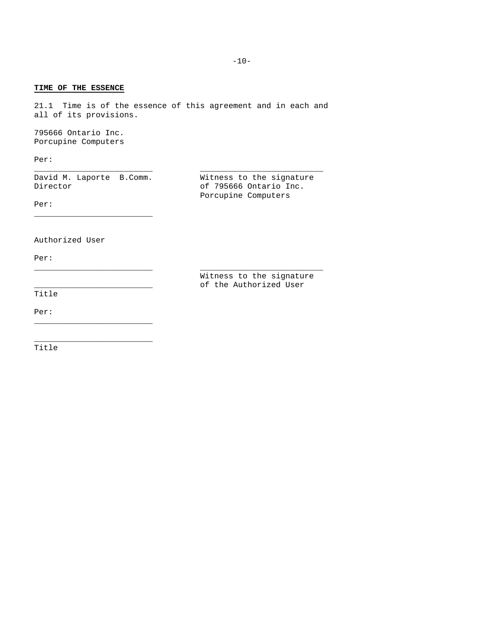## **TIME OF THE ESSENCE**

21.1 Time is of the essence of this agreement and in each and all of its provisions.

\_\_\_\_\_\_\_\_\_\_\_\_\_\_\_\_\_\_\_\_\_\_\_\_\_ \_\_\_\_\_\_\_\_\_\_\_\_\_\_\_\_\_\_\_\_\_\_\_\_\_\_

\_\_\_\_\_\_\_\_\_\_\_\_\_\_\_\_\_\_\_\_\_\_\_\_\_ of the Authorized User

795666 Ontario Inc. Porcupine Computers

Per:

Director **Director** of 795666 Ontario Inc.

\_\_\_\_\_\_\_\_\_\_\_\_\_\_\_\_\_\_\_\_\_\_\_\_\_

\_\_\_\_\_\_\_\_\_\_\_\_\_\_\_\_\_\_\_\_\_\_\_\_\_

\_\_\_\_\_\_\_\_\_\_\_\_\_\_\_\_\_\_\_\_\_\_\_\_\_

 $\mathcal{L}_\text{max}$  , we can also assume that the set of  $\mathcal{L}_\text{max}$ 

David M. Laporte B.Comm. Witness to the signature Porcupine Computers

Witness to the signature

Per:

Authorized User

Per:

Title

Per:

Title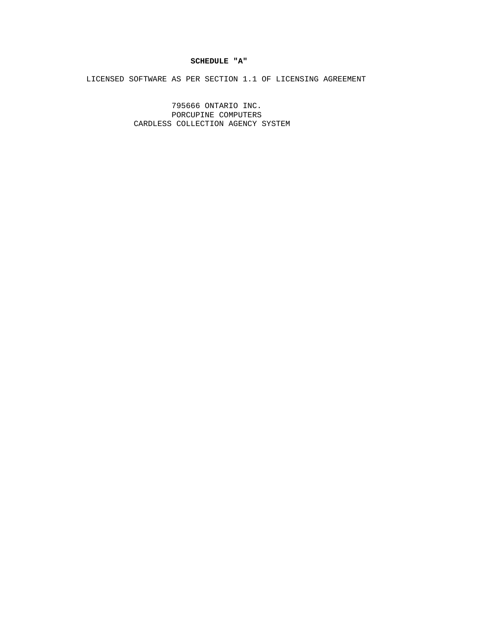## **SCHEDULE "A"**

LICENSED SOFTWARE AS PER SECTION 1.1 OF LICENSING AGREEMENT

 795666 ONTARIO INC. PORCUPINE COMPUTERS CARDLESS COLLECTION AGENCY SYSTEM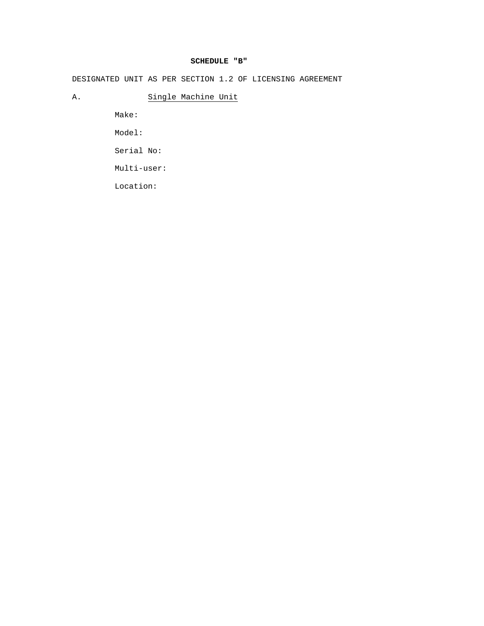## **SCHEDULE "B"**

DESIGNATED UNIT AS PER SECTION 1.2 OF LICENSING AGREEMENT

A. Single Machine Unit

Make:

Model:

Serial No:

Multi-user:

Location: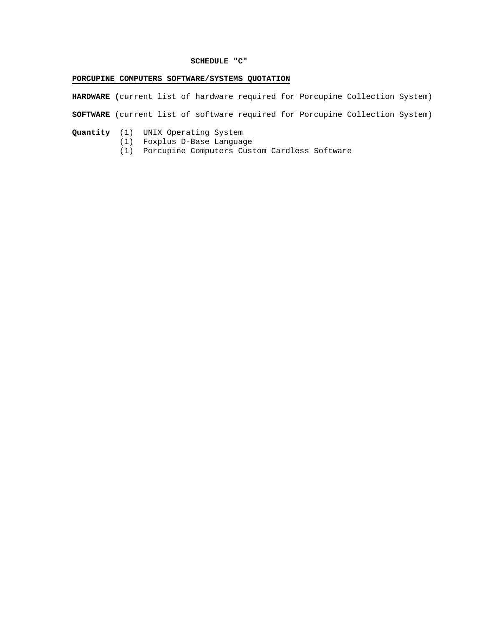## **SCHEDULE "C"**

## **PORCUPINE COMPUTERS SOFTWARE/SYSTEMS QUOTATION**

**HARDWARE (**current list of hardware required for Porcupine Collection System)

**SOFTWARE** (current list of software required for Porcupine Collection System)

- **Quantity** (1) UNIX Operating System
- (1) Foxplus D-Base Language
	- (1) Porcupine Computers Custom Cardless Software